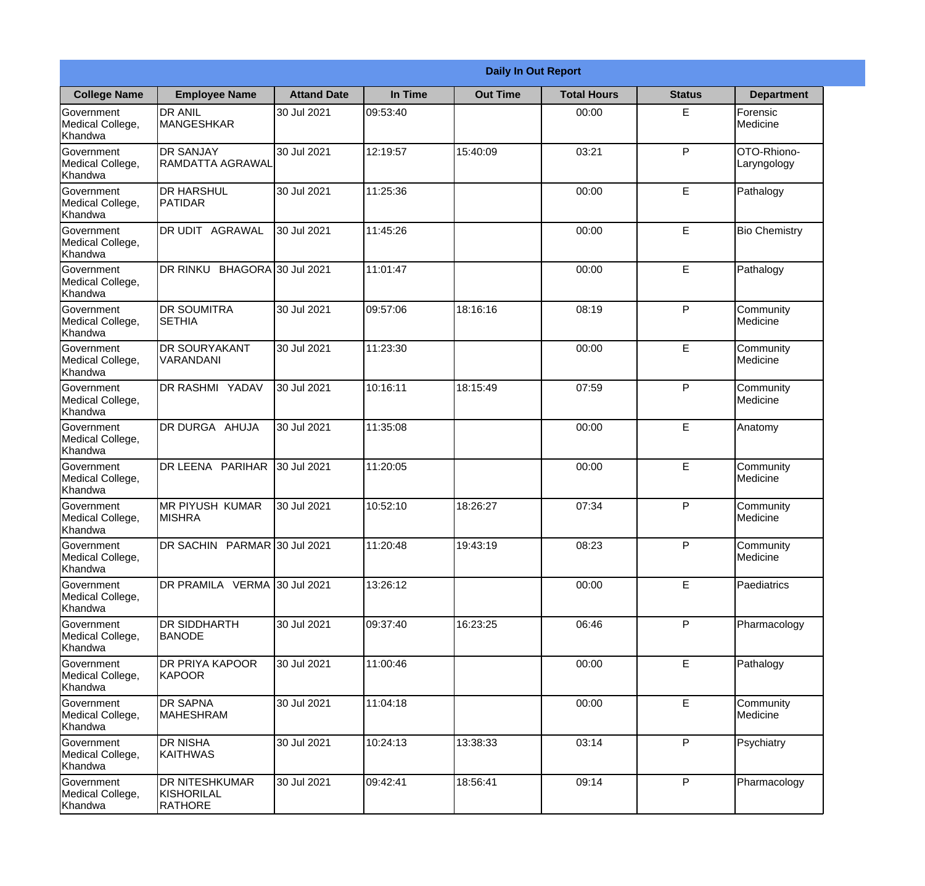|                                                  | <b>Daily In Out Report</b>                            |                    |          |                 |                    |               |                            |  |
|--------------------------------------------------|-------------------------------------------------------|--------------------|----------|-----------------|--------------------|---------------|----------------------------|--|
| <b>College Name</b>                              | <b>Employee Name</b>                                  | <b>Attand Date</b> | In Time  | <b>Out Time</b> | <b>Total Hours</b> | <b>Status</b> | <b>Department</b>          |  |
| Government<br>Medical College,<br>Khandwa        | <b>DR ANIL</b><br><b>MANGESHKAR</b>                   | 30 Jul 2021        | 09:53:40 |                 | 00:00              | E             | Forensic<br>Medicine       |  |
| Government<br>Medical College,<br>Khandwa        | <b>DR SANJAY</b><br><b>RAMDATTA AGRAWAL</b>           | 30 Jul 2021        | 12:19:57 | 15:40:09        | 03:21              | P             | OTO-Rhiono-<br>Laryngology |  |
| <b>Government</b><br>Medical College,<br>Khandwa | <b>DR HARSHUL</b><br>PATIDAR                          | 30 Jul 2021        | 11:25:36 |                 | 00:00              | E             | Pathalogy                  |  |
| Government<br>Medical College,<br>Khandwa        | DR UDIT AGRAWAL                                       | 30 Jul 2021        | 11:45:26 |                 | 00:00              | E             | <b>Bio Chemistry</b>       |  |
| <b>Government</b><br>Medical College,<br>Khandwa | BHAGORA 30 Jul 2021<br>DR RINKU                       |                    | 11:01:47 |                 | 00:00              | E             | Pathalogy                  |  |
| Government<br>Medical College,<br>Khandwa        | <b>DR SOUMITRA</b><br><b>SETHIA</b>                   | 30 Jul 2021        | 09:57:06 | 18:16:16        | 08:19              | P             | Community<br>Medicine      |  |
| Government<br>Medical College,<br>Khandwa        | <b>DR SOURYAKANT</b><br>VARANDANI                     | 30 Jul 2021        | 11:23:30 |                 | 00:00              | E             | Community<br>Medicine      |  |
| Government<br>Medical College,<br>Khandwa        | DR RASHMI YADAV                                       | 30 Jul 2021        | 10:16:11 | 18:15:49        | 07:59              | P             | Community<br>Medicine      |  |
| <b>Government</b><br>Medical College,<br>Khandwa | DR DURGA AHUJA                                        | 30 Jul 2021        | 11:35:08 |                 | 00:00              | E             | Anatomy                    |  |
| Government<br>Medical College,<br>Khandwa        | DR LEENA PARIHAR                                      | 30 Jul 2021        | 11:20:05 |                 | 00:00              | E             | Community<br>Medicine      |  |
| Government<br>Medical College,<br>Khandwa        | <b>IMR PIYUSH KUMAR</b><br><b>MISHRA</b>              | 30 Jul 2021        | 10:52:10 | 18:26:27        | 07:34              | $\mathsf{P}$  | Community<br>Medicine      |  |
| Government<br>Medical College,<br>Khandwa        | DR SACHIN PARMAR 30 Jul 2021                          |                    | 11:20:48 | 19:43:19        | 08:23              | P             | Community<br>Medicine      |  |
| Government<br>Medical College,<br>Khandwa        | DR PRAMILA VERMA 30 Jul 2021                          |                    | 13:26:12 |                 | 00:00              | E             | Paediatrics                |  |
| Government<br>Medical College,<br>Khandwa        | <b>DR SIDDHARTH</b><br><b>BANODE</b>                  | 30 Jul 2021        | 09:37:40 | 16:23:25        | 06:46              | P             | Pharmacology               |  |
| Government<br>Medical College,<br>Khandwa        | DR PRIYA KAPOOR<br>KAPOOR                             | 30 Jul 2021        | 11:00:46 |                 | 00:00              | E             | Pathalogy                  |  |
| Government<br>Medical College,<br>Khandwa        | <b>DR SAPNA</b><br><b>MAHESHRAM</b>                   | 30 Jul 2021        | 11:04:18 |                 | 00:00              | E             | Community<br>Medicine      |  |
| Government<br>Medical College,<br>Khandwa        | <b>DR NISHA</b><br>KAITHWAS                           | 30 Jul 2021        | 10:24:13 | 13:38:33        | 03:14              | P             | Psychiatry                 |  |
| Government<br>Medical College,<br>Khandwa        | <b>DR NITESHKUMAR</b><br>KISHORILAL<br><b>RATHORE</b> | 30 Jul 2021        | 09:42:41 | 18:56:41        | 09:14              | ${\sf P}$     | Pharmacology               |  |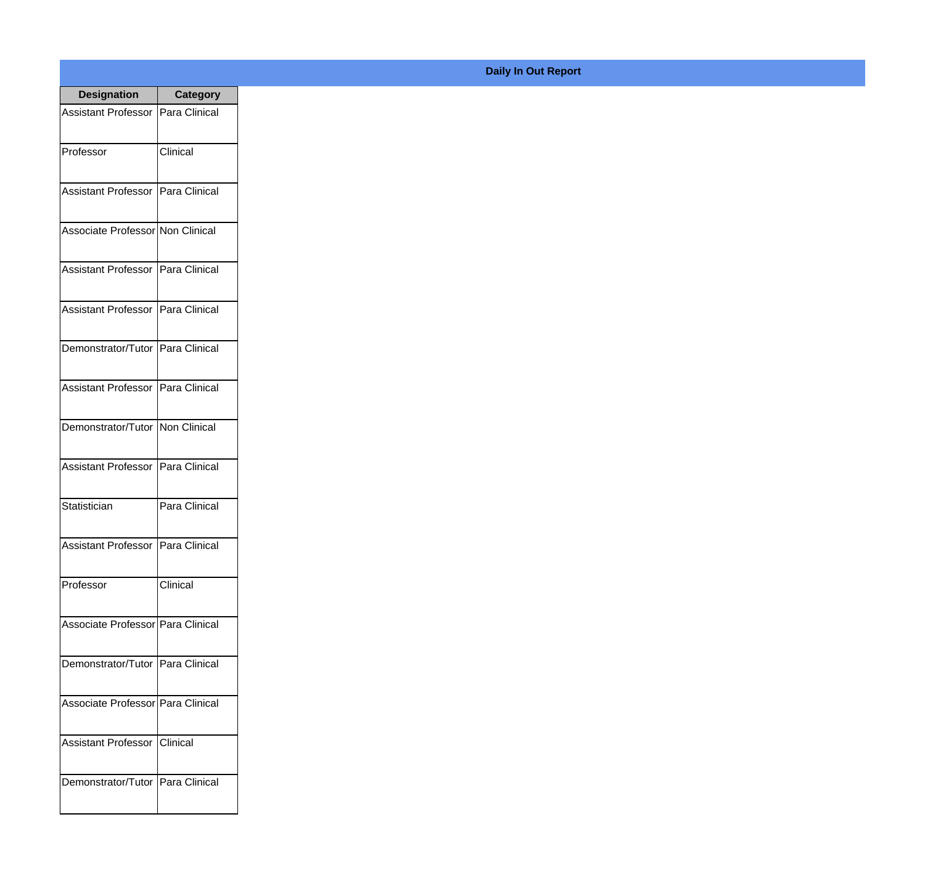| <b>Designation</b>                  | <b>Category</b> |
|-------------------------------------|-----------------|
| Assistant Professor   Para Clinical |                 |
| Professor                           | Clinical        |
| Assistant Professor   Para Clinical |                 |
| Associate Professor Non Clinical    |                 |
| <b>Assistant Professor</b>          | Para Clinical   |
| Assistant Professor   Para Clinical |                 |
| Demonstrator/Tutor   Para Clinical  |                 |
| Assistant Professor   Para Clinical |                 |
| Demonstrator/Tutor   Non Clinical   |                 |
| <b>Assistant Professor</b>          | Para Clinical   |
| Statistician                        | Para Clinical   |
| Assistant Professor   Para Clinical |                 |
| Professor                           | Clinical        |
| Associate Professor   Para Clinical |                 |
| Demonstrator/Tutor   Para Clinical  |                 |
| Associate Professor   Para Clinical |                 |
| <b>Assistant Professor</b>          | Clinical        |
| Demonstrator/Tutor   Para Clinical  |                 |

## **Daily In Out Report**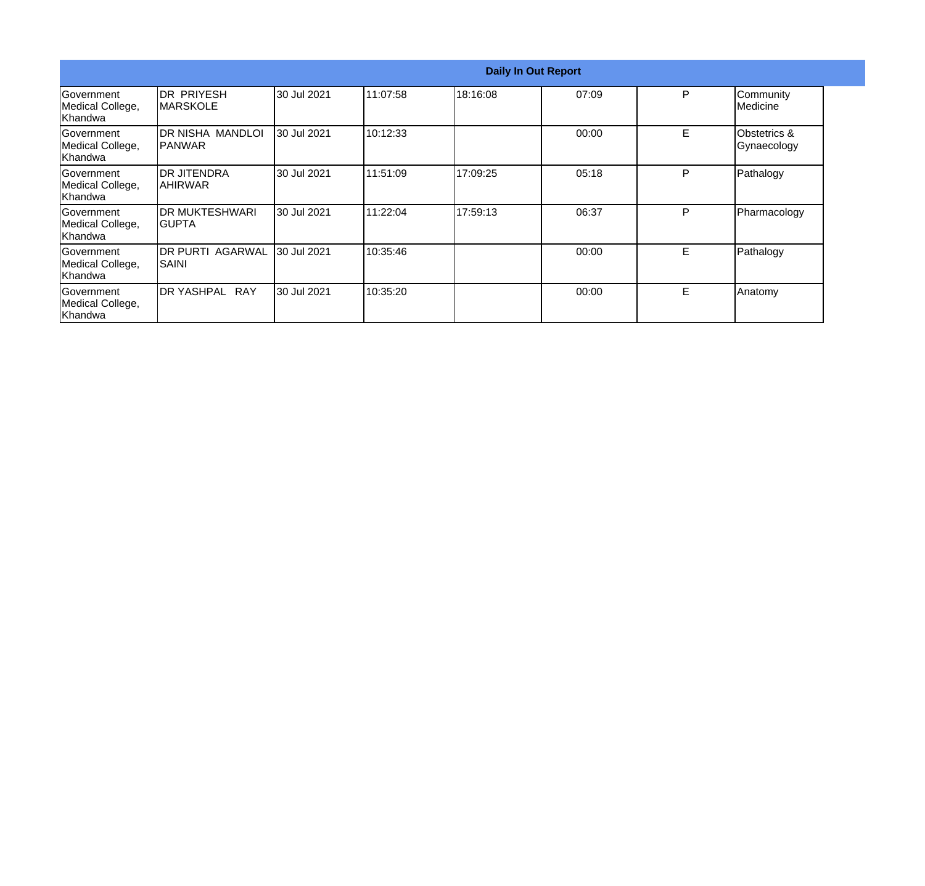|                                                  | <b>Daily In Out Report</b>           |             |           |          |       |    |                                        |  |
|--------------------------------------------------|--------------------------------------|-------------|-----------|----------|-------|----|----------------------------------------|--|
| Government<br>Medical College,<br>Khandwa        | <b>DR PRIYESH</b><br><b>MARSKOLE</b> | 30 Jul 2021 | 11:07:58  | 18:16:08 | 07:09 | P  | Community<br>Medicine                  |  |
| Government<br>Medical College,<br>Khandwa        | <b>DR NISHA MANDLOI</b><br> PANWAR   | 30 Jul 2021 | 10:12:33  |          | 00:00 | E. | <b>Obstetrics &amp;</b><br>Gynaecology |  |
| Government<br>Medical College,<br>Khandwa        | IDR JITENDRA<br><b>AHIRWAR</b>       | 30 Jul 2021 | 111:51:09 | 17:09:25 | 05:18 | P  | Pathalogy                              |  |
| <b>Government</b><br>Medical College,<br>Khandwa | <b>DR MUKTESHWARI</b><br>IGUPTA      | 30 Jul 2021 | 11:22:04  | 17:59:13 | 06:37 | P  | Pharmacology                           |  |
| Government<br>Medical College,<br>Khandwa        | <b>DR PURTI AGARWAL</b><br>SAINI     | 30 Jul 2021 | 10:35:46  |          | 00:00 | E. | Pathalogy                              |  |
| <b>Government</b><br>Medical College,<br>Khandwa | <b>DR YASHPAL</b><br><b>RAY</b>      | 30 Jul 2021 | 10:35:20  |          | 00:00 | E. | Anatomy                                |  |